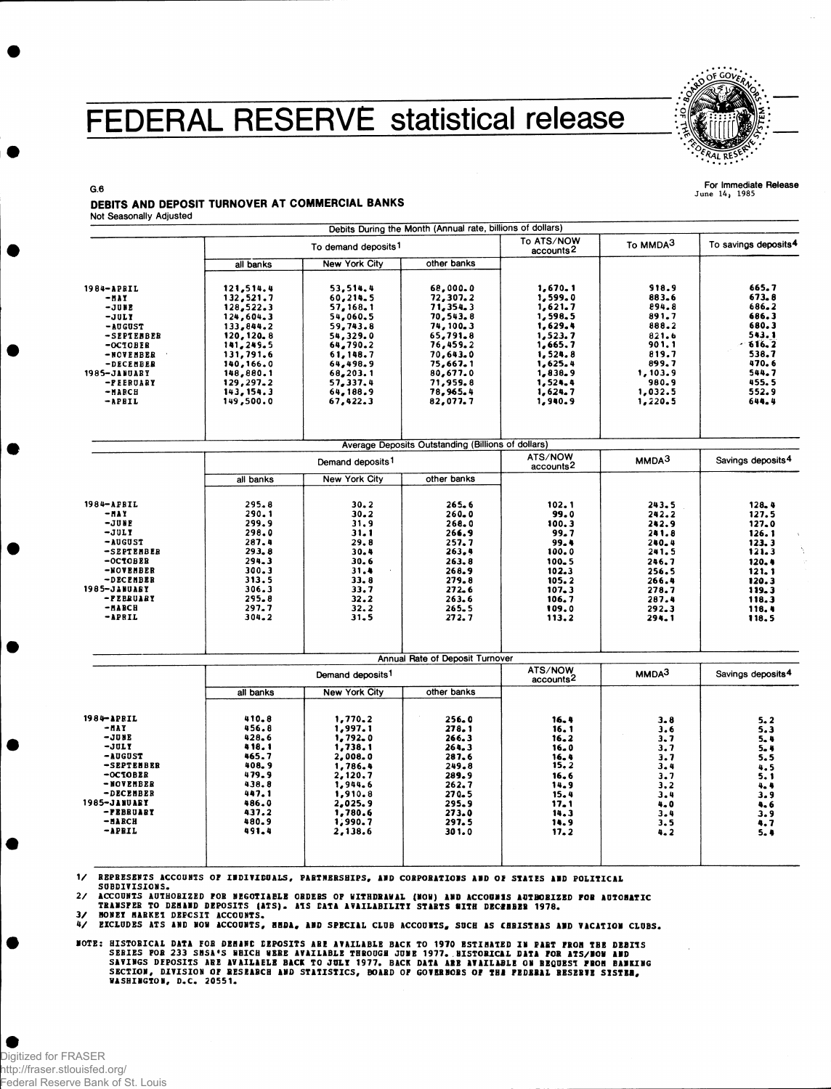## FEDERAL RESERVE statistical release



For Immediate Release<br>June 14, 1985

 $G.6$ DEBITS AND DEPOSIT TURNOVER AT COMMERCIAL BANKS **Not Seasonally Adjusted** 

|                       |                                 |                              | Debits During the Month (Annual rate, billions of dollars) |                                     |                      |                                  |
|-----------------------|---------------------------------|------------------------------|------------------------------------------------------------|-------------------------------------|----------------------|----------------------------------|
|                       | To demand deposits <sup>1</sup> |                              |                                                            | To ATS/NOW<br>accounts <sup>2</sup> | To MMDA <sup>3</sup> | To savings deposits <sup>4</sup> |
|                       | all banks                       | <b>New York City</b>         | other banks                                                |                                     |                      |                                  |
| 1984-APRIL            | 121,514.4                       | 53,514.4                     | 68,000.0                                                   | 1,670.1                             | 918.9                | 665.7                            |
| $-$ <i>HAY</i>        | 132,521.7                       | 60,214.5                     | 72,307.2                                                   | 1,599.0                             | 883.6                | 673.8                            |
| -JUNE                 | 128,522.3                       | 57, 168.1                    | 71,354.3                                                   | 1,621.7                             | 894.8                | 686.2                            |
| $-JUII$               | 124,604.3                       | 54,060.5                     | 70, 543.8                                                  | 1,598.5                             | 891.7                | 686.3                            |
| $-$ AUGUST            | 133,844.2                       | 59,743.8                     | 74, 100.3                                                  | 1,629.4                             | 888.2                | 680.3                            |
| -SEPTEBBER            | 120, 120, 8                     | 54,329.0                     | 65,791.8                                                   | 1,523.7                             | 821.6                | 543.1                            |
| $-OCTOBER$            | 141,249.5                       | 64,790.2                     | 76,459.2                                                   | 1,665.7                             | 901.1                | 616.2                            |
| -NOVEMBER             | 131,791.6                       | 61, 148.7                    | 70,643.0                                                   | 1,524.8                             | 819.7                | 538.7                            |
| -DECEMBER             | 140,166.0                       | 64,498.9                     | 75,667.1                                                   | 1,625.4                             | 899.7                | 470.6                            |
| 1985-JANUARY          | 148,880.1                       | 68,203.1                     | 80,677.0                                                   | 1,838.9                             | 1,103.9              | 544.7                            |
| -PEERUARY             | 129,297.2                       | 57,337.4                     | 71,959.8                                                   | 1,524.4                             | 980.9                | 455.5                            |
| -илвси                | 143, 154.3                      | 64,188.9                     | 78,965.4                                                   | 1,624.7                             | 1,032.5              | 552.9                            |
| -APBIL                | 149,500.0                       | 67,422.3                     | 82,077.7                                                   | 1,940.9                             | 1,220.5              | 644.4                            |
|                       |                                 |                              |                                                            |                                     |                      |                                  |
|                       |                                 |                              |                                                            |                                     |                      |                                  |
|                       |                                 |                              | Average Deposits Outstanding (Billions of dollars)         | ATS/NOW                             |                      |                                  |
|                       |                                 | Demand deposits <sup>1</sup> |                                                            |                                     | MMDA <sup>3</sup>    | Savings deposits <sup>4</sup>    |
|                       | all banks                       | <b>New York City</b>         | other banks                                                |                                     |                      |                                  |
| 1984-APBIL            | 295.8                           | 30.2                         | 265.6                                                      | 102.1                               | 243.5                | 128.4                            |
| <b>- HAY</b>          | 290.1                           | 30.2                         | $260 - 0$                                                  | 99.0                                | 242.2                | 127.5                            |
| $-JUHE$               | 299.9                           | 31.9                         | 268.0                                                      | 100.3                               | 242.9                | 127.0                            |
| $-JULY$               | 298.0                           | 31.1                         | 266.9                                                      | 99.7                                | 241.8                | 126.1                            |
| -AUGUST               | 287.4                           | 29.8                         | 257.7                                                      | 99.4                                | $240 - 4$            | 123.3                            |
| -SEPTEMBER            | 293.8                           | 30.4                         | 263.4                                                      | 100.0                               | 241.5                | 121.3                            |
| $-OCTOBER$            | 294.3                           | 30.6                         | 263.8                                                      | $100 - 5$                           | 246.7                | 120.4                            |
| -NOVEMBER             | 300.3                           | 31.4                         | 268.9                                                      | 102.3                               | 256.5                | 121.1                            |
| -DECEMBER             | 313.5                           | 33.8                         | 279.8                                                      | 105.2                               | 266.4                | 120.3                            |
| 1985-JANUABY          | 306.3                           | 33.7                         | 272.6                                                      | 107.3                               | 278.7                | 119.3                            |
| -PEBRUARY             | 295.8                           | 32.2                         | 263.6                                                      | 106.7                               | 287.4                | 118.3                            |
| -илисн                | 297.7                           | 32.2                         | $265 - 5$                                                  | 109.0                               | 292.3                | 118.4                            |
| -APRIL                | 304.2                           | 31.5                         | 272.7                                                      | 113.2                               | 294.1                | 118.5                            |
|                       |                                 |                              |                                                            |                                     |                      |                                  |
|                       |                                 |                              | Annual Rate of Deposit Turnover                            | ATS/NOW                             |                      |                                  |
|                       | Demand deposits <sup>1</sup>    |                              |                                                            | accounts <sup>2</sup>               | MMDA <sup>3</sup>    | Savings deposits <sup>4</sup>    |
|                       | all banks                       | <b>New York City</b>         | other banks                                                |                                     |                      |                                  |
| $1984 - \text{APRIL}$ | 410.8                           | 1,770.2                      | 256.0                                                      | 16.4                                | 3.8                  | 5.2                              |
| -nay                  | 456.8                           | 1,997.1                      | 278.1                                                      | 16.1                                | 3.6                  | 5.3                              |
| -JUNE                 | 428.6                           | 1,792.0                      | 266.3                                                      | $16 - 2$                            | 3.7                  | 5.4                              |
| $-JULY$               | 418.1                           | 1,738.1                      | 264.3                                                      | 16.0                                | 3.7                  | $5 - 4$                          |
| <b>-AUGUST</b>        | 465.7                           | 2,008.0                      | 287.6                                                      | 16.4                                | 3.7                  | 5.5                              |
| -SEPTEMBER            | 408.9                           | 1,786.4                      | 249.8                                                      | 15.2                                | 3.4                  | 4.5                              |
| $-0$ CTOBER           | 479.9                           | 2,120.7                      | 289.9                                                      | 16.6                                | 3.7                  | 5. 1                             |
| -NOVEMBER             | 438.8                           | 1,944.6                      | 262.7                                                      | 14.9                                | 3, 2                 | 4.4                              |
| -DECEMBER             | 447.1                           | 1,910.8                      | 270.5                                                      | 15.4                                | 3.4                  | 3.9                              |
| 1985-JANUARY          | 486.0                           | 2,025.9                      | 295.9                                                      | 17.1                                | 4.0                  | 4.6                              |
| -FEBRUARY             | 437.2                           | 1,780.6                      | 273.0                                                      | 14.3                                | 3.4                  | 3.9                              |
| -илисн                | 480.9                           | 1,990.7                      | 297.5                                                      | 14.9                                | 3.5                  | 4.7                              |
| -APBIL                | 491.4                           | 2,138.6                      | 301.0                                                      | 17.2                                | 4.2                  | 5.4                              |
|                       |                                 |                              |                                                            |                                     |                      |                                  |
|                       |                                 |                              |                                                            |                                     |                      |                                  |

1/ REPRESENTS ACCOUNTS OF INDIVIDUALS, PARTNERSHIPS, AND CORPORATIONS AND OF STATES AND POLITICAL SUBDIVISIONS.

SUBUILISIONS.<br>ACCOUNTS AUTHOBIZED FOR NEGOTIABLE ORDEBS OF WITHDRAWAL (NOW) AND ACCOUNIS AUTHOBIZED FOR AUTOBATIC<br>TRANSFER TO DEMAND DEPOSITS (ATS). ATS DATA AVAILABILITI STARTS WITH DECZNBER 1978.<br>MONET MARKEI DEPCSIT ACC  $\mathbf{2}$ 

 $\overline{\mathbf{3}}$ 

47

**MOTE: HISTORICAL DATA FOR DEMAND DEPOSITS ARE AVAILABLE BACK TO 1970 ESTIMATED IN PART FROM THE DEBITS<br>SERIES FOR 233 SMSA'S WHICH WERE AVAILABLE THROUGH JUME 1977. BISTORICAL DATA FOR ATS/MOW AND<br>SAVINGS DEPOSITS ARE AVA** WASHINGTON, D.C. 20551.